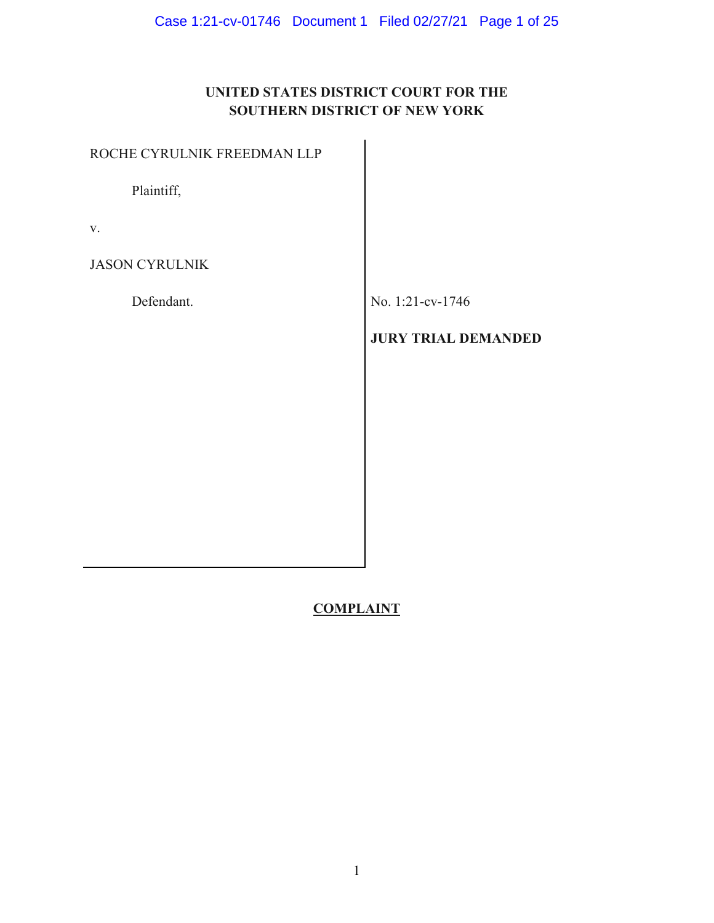# **UNITED STATES DISTRICT COURT FOR THE SOUTHERN DISTRICT OF NEW YORK**

| ROCHE CYRULNIK FREEDMAN LLP |                            |
|-----------------------------|----------------------------|
| Plaintiff,                  |                            |
| V.                          |                            |
| <b>JASON CYRULNIK</b>       |                            |
| Defendant.                  | No. 1:21-cv-1746           |
|                             | <b>JURY TRIAL DEMANDED</b> |
|                             |                            |
|                             |                            |
|                             |                            |
|                             |                            |
|                             |                            |

# **COMPLAINT**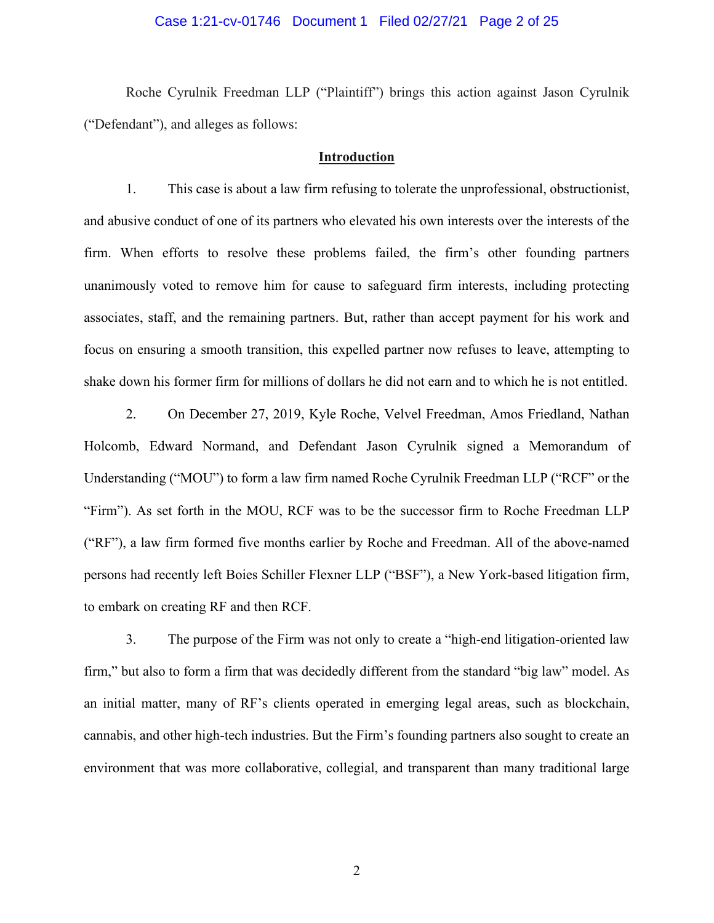#### Case 1:21-cv-01746 Document 1 Filed 02/27/21 Page 2 of 25

Roche Cyrulnik Freedman LLP ("Plaintiff") brings this action against Jason Cyrulnik ("Defendant"), and alleges as follows:

#### **Introduction**

1. This case is about a law firm refusing to tolerate the unprofessional, obstructionist, and abusive conduct of one of its partners who elevated his own interests over the interests of the firm. When efforts to resolve these problems failed, the firm's other founding partners unanimously voted to remove him for cause to safeguard firm interests, including protecting associates, staff, and the remaining partners. But, rather than accept payment for his work and focus on ensuring a smooth transition, this expelled partner now refuses to leave, attempting to shake down his former firm for millions of dollars he did not earn and to which he is not entitled.

2. On December 27, 2019, Kyle Roche, Velvel Freedman, Amos Friedland, Nathan Holcomb, Edward Normand, and Defendant Jason Cyrulnik signed a Memorandum of Understanding ("MOU") to form a law firm named Roche Cyrulnik Freedman LLP ("RCF" or the "Firm"). As set forth in the MOU, RCF was to be the successor firm to Roche Freedman LLP ("RF"), a law firm formed five months earlier by Roche and Freedman. All of the above-named persons had recently left Boies Schiller Flexner LLP ("BSF"), a New York-based litigation firm, to embark on creating RF and then RCF.

3. The purpose of the Firm was not only to create a "high-end litigation-oriented law firm," but also to form a firm that was decidedly different from the standard "big law" model. As an initial matter, many of RF's clients operated in emerging legal areas, such as blockchain, cannabis, and other high-tech industries. But the Firm's founding partners also sought to create an environment that was more collaborative, collegial, and transparent than many traditional large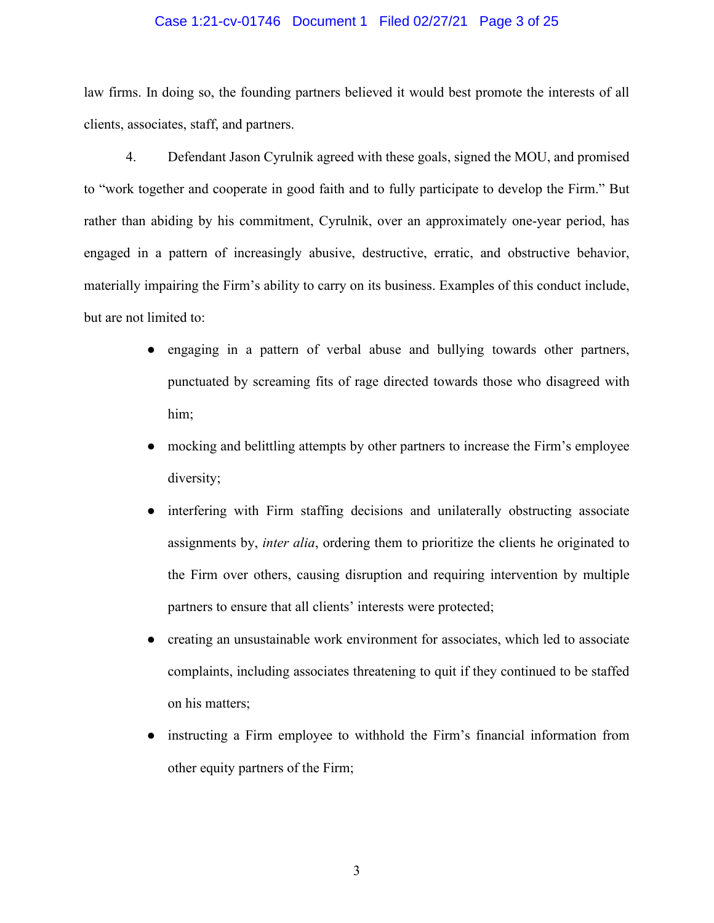#### Case 1:21-cv-01746 Document 1 Filed 02/27/21 Page 3 of 25

law firms. In doing so, the founding partners believed it would best promote the interests of all clients, associates, staff, and partners.

4. Defendant Jason Cyrulnik agreed with these goals, signed the MOU, and promised to "work together and cooperate in good faith and to fully participate to develop the Firm." But rather than abiding by his commitment, Cyrulnik, over an approximately one-year period, has engaged in a pattern of increasingly abusive, destructive, erratic, and obstructive behavior, materially impairing the Firm's ability to carry on its business. Examples of this conduct include, but are not limited to:

- engaging in a pattern of verbal abuse and bullying towards other partners, punctuated by screaming fits of rage directed towards those who disagreed with him;
- mocking and belittling attempts by other partners to increase the Firm's employee diversity;
- interfering with Firm staffing decisions and unilaterally obstructing associate assignments by, *inter alia*, ordering them to prioritize the clients he originated to the Firm over others, causing disruption and requiring intervention by multiple partners to ensure that all clients' interests were protected;
- creating an unsustainable work environment for associates, which led to associate complaints, including associates threatening to quit if they continued to be staffed on his matters;
- instructing a Firm employee to withhold the Firm's financial information from other equity partners of the Firm;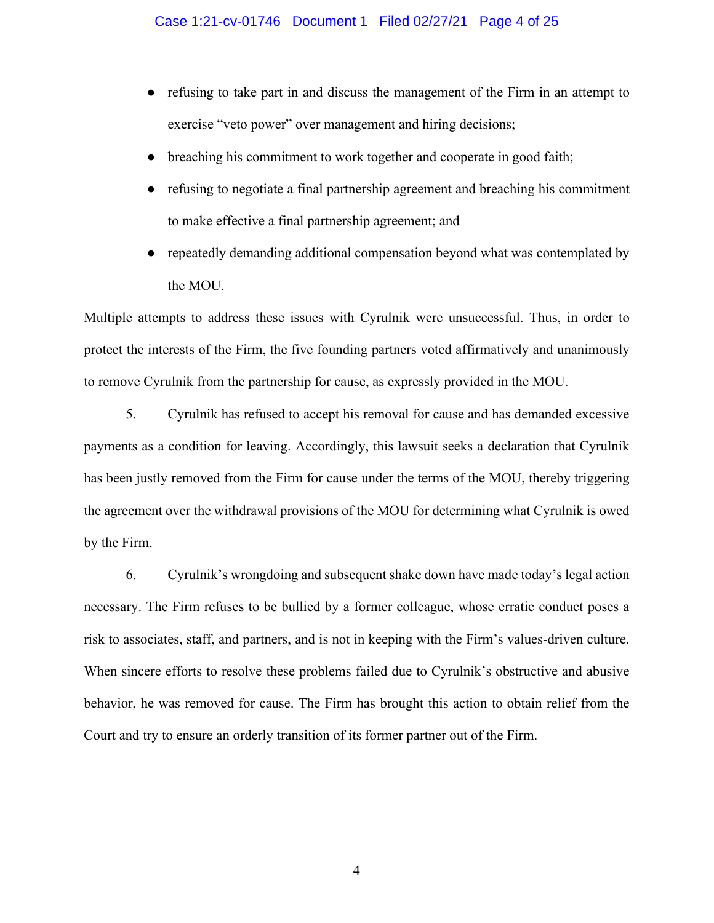- refusing to take part in and discuss the management of the Firm in an attempt to exercise "veto power" over management and hiring decisions;
- breaching his commitment to work together and cooperate in good faith;
- refusing to negotiate a final partnership agreement and breaching his commitment to make effective a final partnership agreement; and
- repeatedly demanding additional compensation beyond what was contemplated by the MOU.

Multiple attempts to address these issues with Cyrulnik were unsuccessful. Thus, in order to protect the interests of the Firm, the five founding partners voted affirmatively and unanimously to remove Cyrulnik from the partnership for cause, as expressly provided in the MOU.

5. Cyrulnik has refused to accept his removal for cause and has demanded excessive payments as a condition for leaving. Accordingly, this lawsuit seeks a declaration that Cyrulnik has been justly removed from the Firm for cause under the terms of the MOU, thereby triggering the agreement over the withdrawal provisions of the MOU for determining what Cyrulnik is owed by the Firm.

6. Cyrulnik's wrongdoing and subsequent shake down have made today's legal action necessary. The Firm refuses to be bullied by a former colleague, whose erratic conduct poses a risk to associates, staff, and partners, and is not in keeping with the Firm's values-driven culture. When sincere efforts to resolve these problems failed due to Cyrulnik's obstructive and abusive behavior, he was removed for cause. The Firm has brought this action to obtain relief from the Court and try to ensure an orderly transition of its former partner out of the Firm.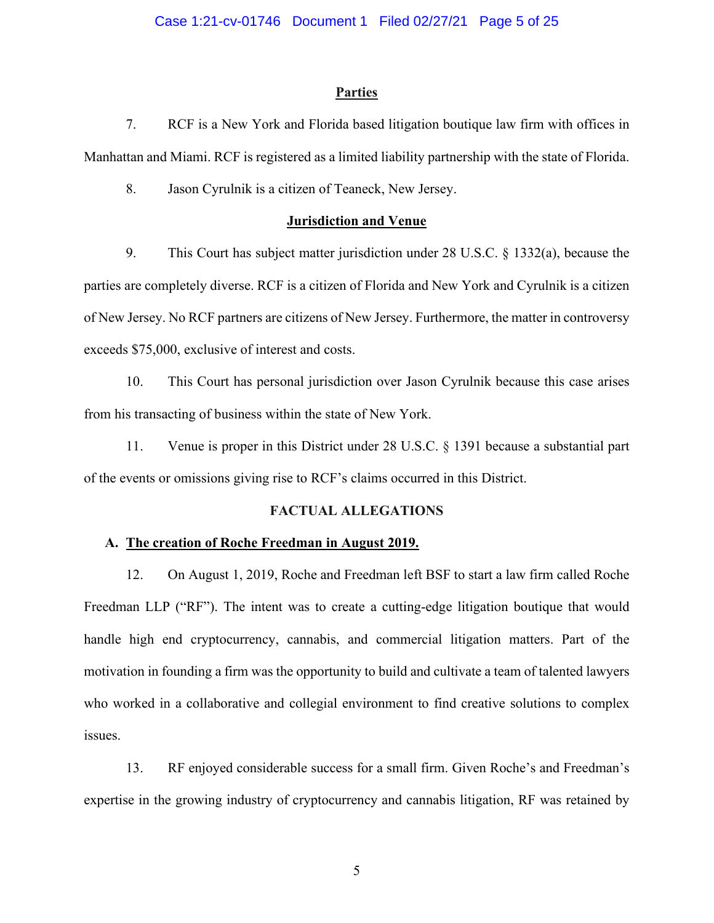#### **Parties**

7. RCF is a New York and Florida based litigation boutique law firm with offices in Manhattan and Miami. RCF is registered as a limited liability partnership with the state of Florida.

8. Jason Cyrulnik is a citizen of Teaneck, New Jersey.

#### **Jurisdiction and Venue**

9. This Court has subject matter jurisdiction under 28 U.S.C. § 1332(a), because the parties are completely diverse. RCF is a citizen of Florida and New York and Cyrulnik is a citizen of New Jersey. No RCF partners are citizens of New Jersey. Furthermore, the matter in controversy exceeds \$75,000, exclusive of interest and costs.

10. This Court has personal jurisdiction over Jason Cyrulnik because this case arises from his transacting of business within the state of New York.

11. Venue is proper in this District under 28 U.S.C. § 1391 because a substantial part of the events or omissions giving rise to RCF's claims occurred in this District.

#### **FACTUAL ALLEGATIONS**

#### **A. The creation of Roche Freedman in August 2019.**

12. On August 1, 2019, Roche and Freedman left BSF to start a law firm called Roche Freedman LLP ("RF"). The intent was to create a cutting-edge litigation boutique that would handle high end cryptocurrency, cannabis, and commercial litigation matters. Part of the motivation in founding a firm was the opportunity to build and cultivate a team of talented lawyers who worked in a collaborative and collegial environment to find creative solutions to complex issues.

13. RF enjoyed considerable success for a small firm. Given Roche's and Freedman's expertise in the growing industry of cryptocurrency and cannabis litigation, RF was retained by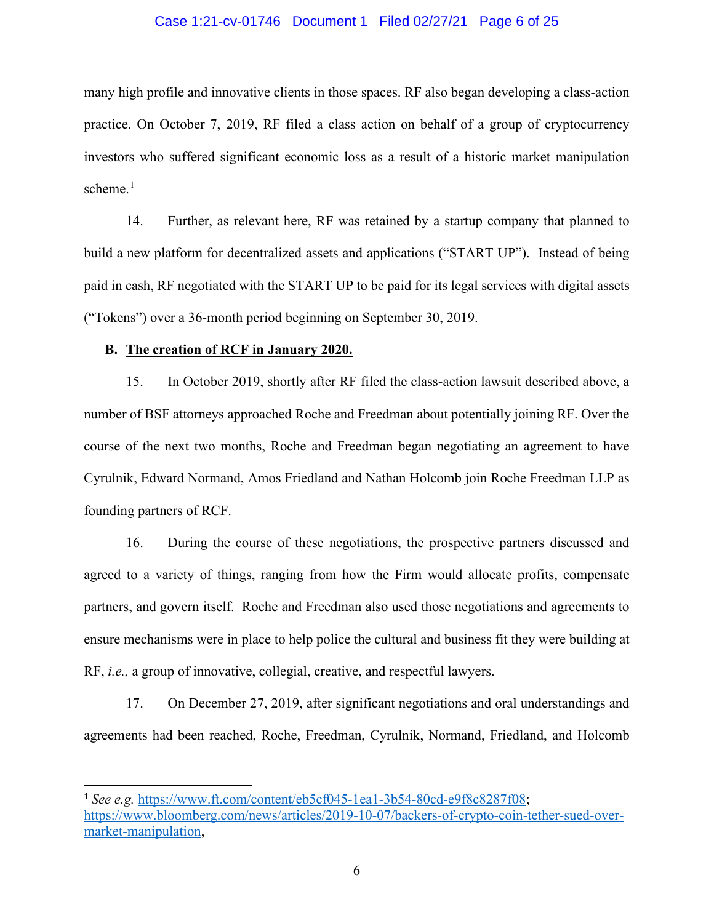#### Case 1:21-cv-01746 Document 1 Filed 02/27/21 Page 6 of 25

many high profile and innovative clients in those spaces. RF also began developing a class-action practice. On October 7, 2019, RF filed a class action on behalf of a group of cryptocurrency investors who suffered significant economic loss as a result of a historic market manipulation scheme. $1$ 

14. Further, as relevant here, RF was retained by a startup company that planned to build a new platform for decentralized assets and applications ("START UP"). Instead of being paid in cash, RF negotiated with the START UP to be paid for its legal services with digital assets ("Tokens") over a 36-month period beginning on September 30, 2019.

#### **B. The creation of RCF in January 2020.**

15. In October 2019, shortly after RF filed the class-action lawsuit described above, a number of BSF attorneys approached Roche and Freedman about potentially joining RF. Over the course of the next two months, Roche and Freedman began negotiating an agreement to have Cyrulnik, Edward Normand, Amos Friedland and Nathan Holcomb join Roche Freedman LLP as founding partners of RCF.

16. During the course of these negotiations, the prospective partners discussed and agreed to a variety of things, ranging from how the Firm would allocate profits, compensate partners, and govern itself. Roche and Freedman also used those negotiations and agreements to ensure mechanisms were in place to help police the cultural and business fit they were building at RF, *i.e.,* a group of innovative, collegial, creative, and respectful lawyers.

17. On December 27, 2019, after significant negotiations and oral understandings and agreements had been reached, Roche, Freedman, Cyrulnik, Normand, Friedland, and Holcomb

<span id="page-5-0"></span><sup>1</sup> *See e.g.* [https://www.ft.com/content/eb5cf045-1ea1-3b54-80cd-e9f8c8287f08;](https://www.ft.com/content/eb5cf045-1ea1-3b54-80cd-e9f8c8287f08) [https://www.bloomberg.com/news/articles/2019-10-07/backers-of-crypto-coin-tether-sued-over](https://www.bloomberg.com/news/articles/2019-10-07/backers-of-crypto-coin-tether-sued-over-market-manipulation)[market-manipulation,](https://www.bloomberg.com/news/articles/2019-10-07/backers-of-crypto-coin-tether-sued-over-market-manipulation)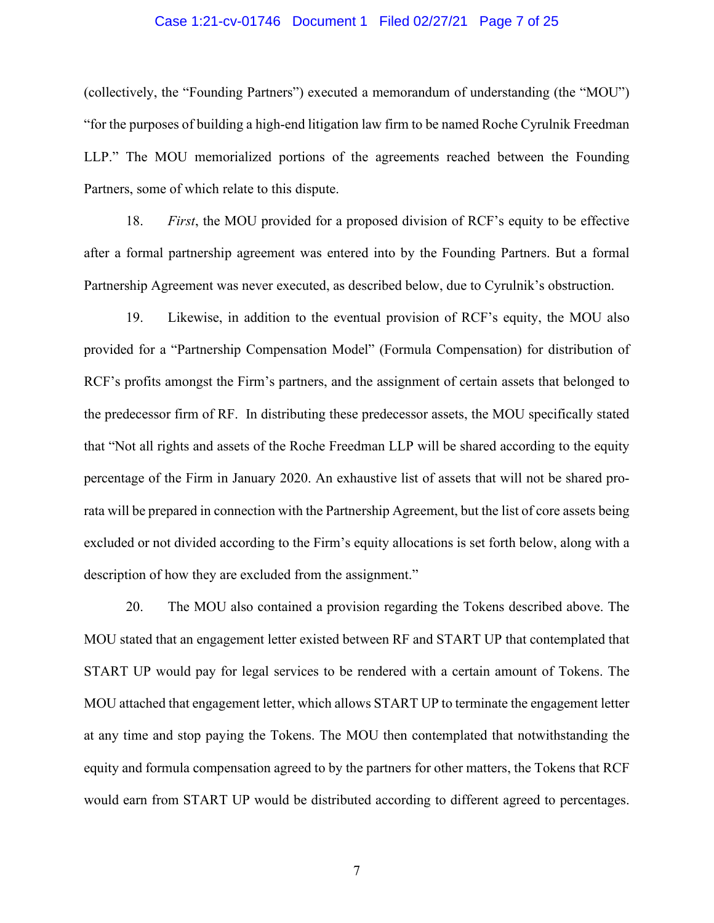#### Case 1:21-cv-01746 Document 1 Filed 02/27/21 Page 7 of 25

(collectively, the "Founding Partners") executed a memorandum of understanding (the "MOU") "for the purposes of building a high-end litigation law firm to be named Roche Cyrulnik Freedman LLP." The MOU memorialized portions of the agreements reached between the Founding Partners, some of which relate to this dispute.

18. *First*, the MOU provided for a proposed division of RCF's equity to be effective after a formal partnership agreement was entered into by the Founding Partners. But a formal Partnership Agreement was never executed, as described below, due to Cyrulnik's obstruction.

19. Likewise, in addition to the eventual provision of RCF's equity, the MOU also provided for a "Partnership Compensation Model" (Formula Compensation) for distribution of RCF's profits amongst the Firm's partners, and the assignment of certain assets that belonged to the predecessor firm of RF. In distributing these predecessor assets, the MOU specifically stated that "Not all rights and assets of the Roche Freedman LLP will be shared according to the equity percentage of the Firm in January 2020. An exhaustive list of assets that will not be shared prorata will be prepared in connection with the Partnership Agreement, but the list of core assets being excluded or not divided according to the Firm's equity allocations is set forth below, along with a description of how they are excluded from the assignment."

20. The MOU also contained a provision regarding the Tokens described above. The MOU stated that an engagement letter existed between RF and START UP that contemplated that START UP would pay for legal services to be rendered with a certain amount of Tokens. The MOU attached that engagement letter, which allows START UP to terminate the engagement letter at any time and stop paying the Tokens. The MOU then contemplated that notwithstanding the equity and formula compensation agreed to by the partners for other matters, the Tokens that RCF would earn from START UP would be distributed according to different agreed to percentages.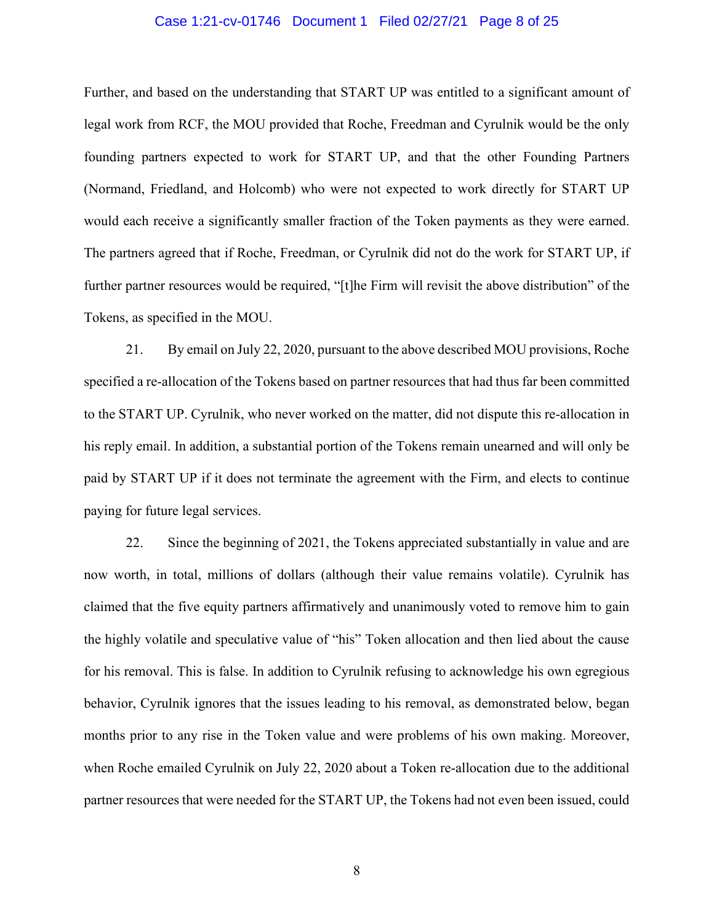#### Case 1:21-cv-01746 Document 1 Filed 02/27/21 Page 8 of 25

Further, and based on the understanding that START UP was entitled to a significant amount of legal work from RCF, the MOU provided that Roche, Freedman and Cyrulnik would be the only founding partners expected to work for START UP, and that the other Founding Partners (Normand, Friedland, and Holcomb) who were not expected to work directly for START UP would each receive a significantly smaller fraction of the Token payments as they were earned. The partners agreed that if Roche, Freedman, or Cyrulnik did not do the work for START UP, if further partner resources would be required, "[t]he Firm will revisit the above distribution" of the Tokens, as specified in the MOU.

21. By email on July 22, 2020, pursuant to the above described MOU provisions, Roche specified a re-allocation of the Tokens based on partner resources that had thus far been committed to the START UP. Cyrulnik, who never worked on the matter, did not dispute this re-allocation in his reply email. In addition, a substantial portion of the Tokens remain unearned and will only be paid by START UP if it does not terminate the agreement with the Firm, and elects to continue paying for future legal services.

22. Since the beginning of 2021, the Tokens appreciated substantially in value and are now worth, in total, millions of dollars (although their value remains volatile). Cyrulnik has claimed that the five equity partners affirmatively and unanimously voted to remove him to gain the highly volatile and speculative value of "his" Token allocation and then lied about the cause for his removal. This is false. In addition to Cyrulnik refusing to acknowledge his own egregious behavior, Cyrulnik ignores that the issues leading to his removal, as demonstrated below, began months prior to any rise in the Token value and were problems of his own making. Moreover, when Roche emailed Cyrulnik on July 22, 2020 about a Token re-allocation due to the additional partner resources that were needed for the START UP, the Tokens had not even been issued, could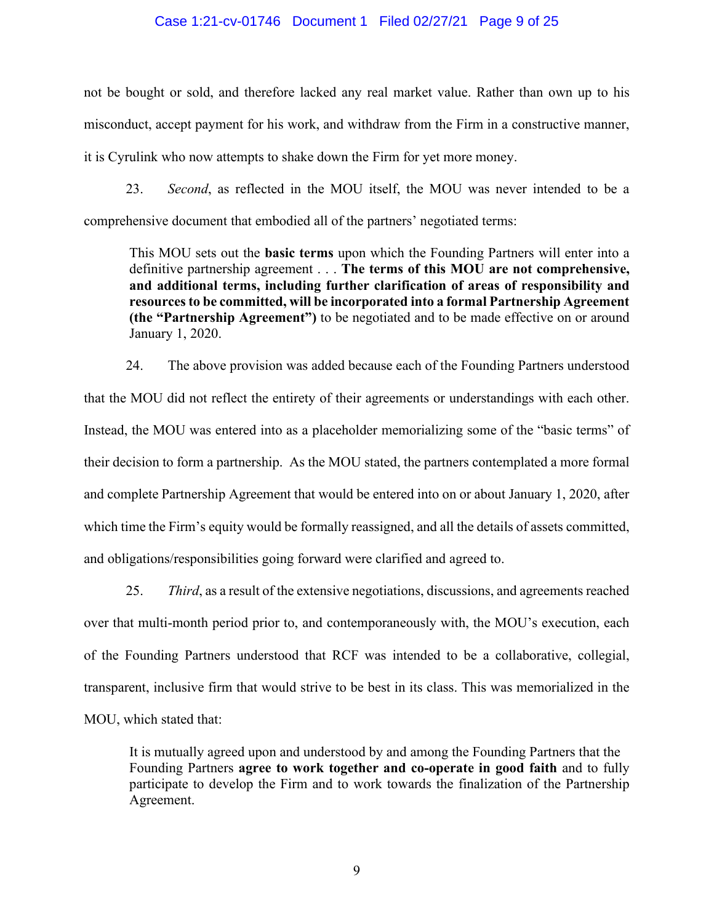#### Case 1:21-cv-01746 Document 1 Filed 02/27/21 Page 9 of 25

not be bought or sold, and therefore lacked any real market value. Rather than own up to his misconduct, accept payment for his work, and withdraw from the Firm in a constructive manner, it is Cyrulink who now attempts to shake down the Firm for yet more money.

23. *Second*, as reflected in the MOU itself, the MOU was never intended to be a comprehensive document that embodied all of the partners' negotiated terms:

This MOU sets out the **basic terms** upon which the Founding Partners will enter into a definitive partnership agreement . . . **The terms of this MOU are not comprehensive, and additional terms, including further clarification of areas of responsibility and resources to be committed, will be incorporated into a formal Partnership Agreement (the "Partnership Agreement")** to be negotiated and to be made effective on or around January 1, 2020.

24. The above provision was added because each of the Founding Partners understood that the MOU did not reflect the entirety of their agreements or understandings with each other. Instead, the MOU was entered into as a placeholder memorializing some of the "basic terms" of their decision to form a partnership. As the MOU stated, the partners contemplated a more formal and complete Partnership Agreement that would be entered into on or about January 1, 2020, after which time the Firm's equity would be formally reassigned, and all the details of assets committed, and obligations/responsibilities going forward were clarified and agreed to.

25. *Third*, as a result of the extensive negotiations, discussions, and agreements reached over that multi-month period prior to, and contemporaneously with, the MOU's execution, each of the Founding Partners understood that RCF was intended to be a collaborative, collegial, transparent, inclusive firm that would strive to be best in its class. This was memorialized in the MOU, which stated that:

It is mutually agreed upon and understood by and among the Founding Partners that the Founding Partners **agree to work together and co-operate in good faith** and to fully participate to develop the Firm and to work towards the finalization of the Partnership Agreement.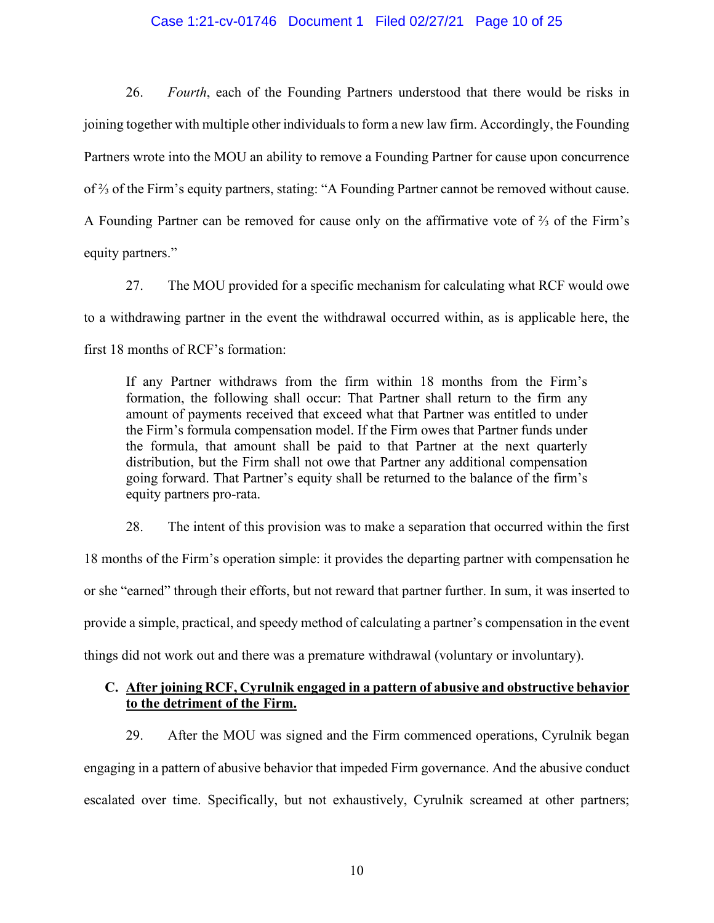#### Case 1:21-cv-01746 Document 1 Filed 02/27/21 Page 10 of 25

26. *Fourth*, each of the Founding Partners understood that there would be risks in joining together with multiple other individuals to form a new law firm. Accordingly, the Founding Partners wrote into the MOU an ability to remove a Founding Partner for cause upon concurrence of ⅔ of the Firm's equity partners, stating: "A Founding Partner cannot be removed without cause. A Founding Partner can be removed for cause only on the affirmative vote of ⅔ of the Firm's equity partners."

27. The MOU provided for a specific mechanism for calculating what RCF would owe to a withdrawing partner in the event the withdrawal occurred within, as is applicable here, the first 18 months of RCF's formation:

If any Partner withdraws from the firm within 18 months from the Firm's formation, the following shall occur: That Partner shall return to the firm any amount of payments received that exceed what that Partner was entitled to under the Firm's formula compensation model. If the Firm owes that Partner funds under the formula, that amount shall be paid to that Partner at the next quarterly distribution, but the Firm shall not owe that Partner any additional compensation going forward. That Partner's equity shall be returned to the balance of the firm's equity partners pro-rata.

28. The intent of this provision was to make a separation that occurred within the first 18 months of the Firm's operation simple: it provides the departing partner with compensation he or she "earned" through their efforts, but not reward that partner further. In sum, it was inserted to provide a simple, practical, and speedy method of calculating a partner's compensation in the event things did not work out and there was a premature withdrawal (voluntary or involuntary).

## **C. After joining RCF, Cyrulnik engaged in a pattern of abusive and obstructive behavior to the detriment of the Firm.**

29. After the MOU was signed and the Firm commenced operations, Cyrulnik began engaging in a pattern of abusive behavior that impeded Firm governance. And the abusive conduct escalated over time. Specifically, but not exhaustively, Cyrulnik screamed at other partners;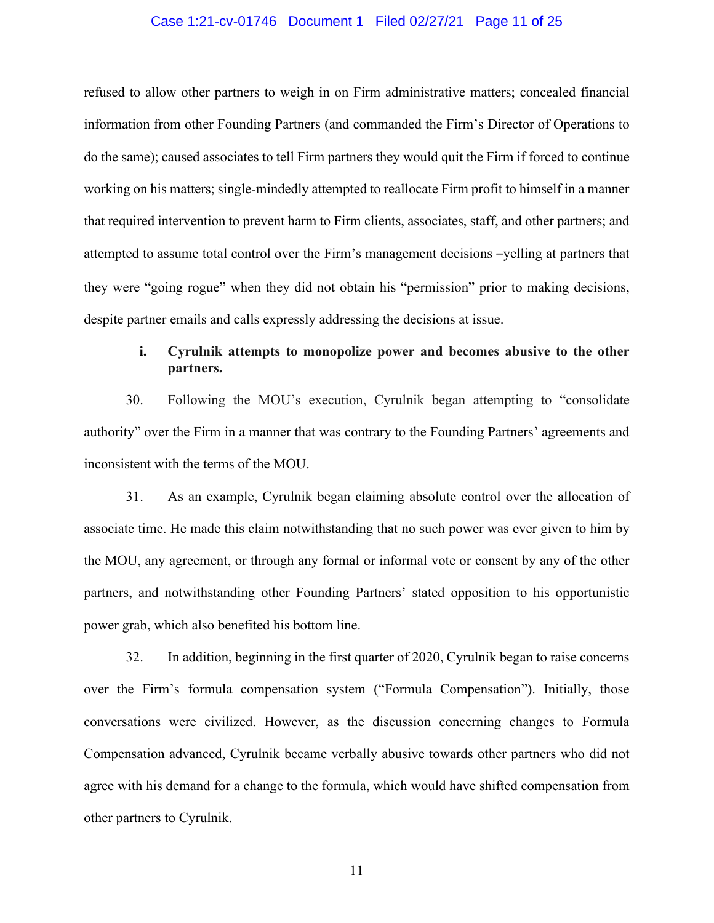#### Case 1:21-cv-01746 Document 1 Filed 02/27/21 Page 11 of 25

refused to allow other partners to weigh in on Firm administrative matters; concealed financial information from other Founding Partners (and commanded the Firm's Director of Operations to do the same); caused associates to tell Firm partners they would quit the Firm if forced to continue working on his matters; single-mindedly attempted to reallocate Firm profit to himself in a manner that required intervention to prevent harm to Firm clients, associates, staff, and other partners; and attempted to assume total control over the Firm's management decisions –yelling at partners that they were "going rogue" when they did not obtain his "permission" prior to making decisions, despite partner emails and calls expressly addressing the decisions at issue.

## **i. Cyrulnik attempts to monopolize power and becomes abusive to the other partners.**

30. Following the MOU's execution, Cyrulnik began attempting to "consolidate authority" over the Firm in a manner that was contrary to the Founding Partners' agreements and inconsistent with the terms of the MOU.

31. As an example, Cyrulnik began claiming absolute control over the allocation of associate time. He made this claim notwithstanding that no such power was ever given to him by the MOU, any agreement, or through any formal or informal vote or consent by any of the other partners, and notwithstanding other Founding Partners' stated opposition to his opportunistic power grab, which also benefited his bottom line.

32. In addition, beginning in the first quarter of 2020, Cyrulnik began to raise concerns over the Firm's formula compensation system ("Formula Compensation"). Initially, those conversations were civilized. However, as the discussion concerning changes to Formula Compensation advanced, Cyrulnik became verbally abusive towards other partners who did not agree with his demand for a change to the formula, which would have shifted compensation from other partners to Cyrulnik.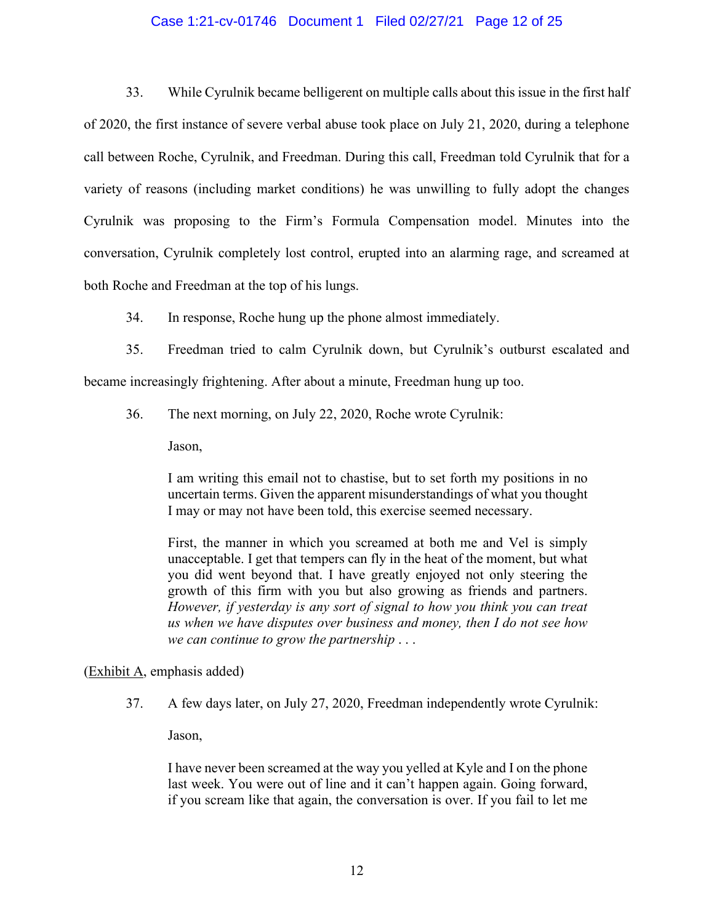#### Case 1:21-cv-01746 Document 1 Filed 02/27/21 Page 12 of 25

33. While Cyrulnik became belligerent on multiple calls about this issue in the first half of 2020, the first instance of severe verbal abuse took place on July 21, 2020, during a telephone call between Roche, Cyrulnik, and Freedman. During this call, Freedman told Cyrulnik that for a variety of reasons (including market conditions) he was unwilling to fully adopt the changes Cyrulnik was proposing to the Firm's Formula Compensation model. Minutes into the conversation, Cyrulnik completely lost control, erupted into an alarming rage, and screamed at both Roche and Freedman at the top of his lungs.

34. In response, Roche hung up the phone almost immediately.

35. Freedman tried to calm Cyrulnik down, but Cyrulnik's outburst escalated and became increasingly frightening. After about a minute, Freedman hung up too.

36. The next morning, on July 22, 2020, Roche wrote Cyrulnik:

Jason,

I am writing this email not to chastise, but to set forth my positions in no uncertain terms. Given the apparent misunderstandings of what you thought I may or may not have been told, this exercise seemed necessary.

First, the manner in which you screamed at both me and Vel is simply unacceptable. I get that tempers can fly in the heat of the moment, but what you did went beyond that. I have greatly enjoyed not only steering the growth of this firm with you but also growing as friends and partners. *However, if yesterday is any sort of signal to how you think you can treat us when we have disputes over business and money, then I do not see how we can continue to grow the partnership* . . .

(Exhibit A, emphasis added)

37. A few days later, on July 27, 2020, Freedman independently wrote Cyrulnik:

Jason,

I have never been screamed at the way you yelled at Kyle and I on the phone last week. You were out of line and it can't happen again. Going forward, if you scream like that again, the conversation is over. If you fail to let me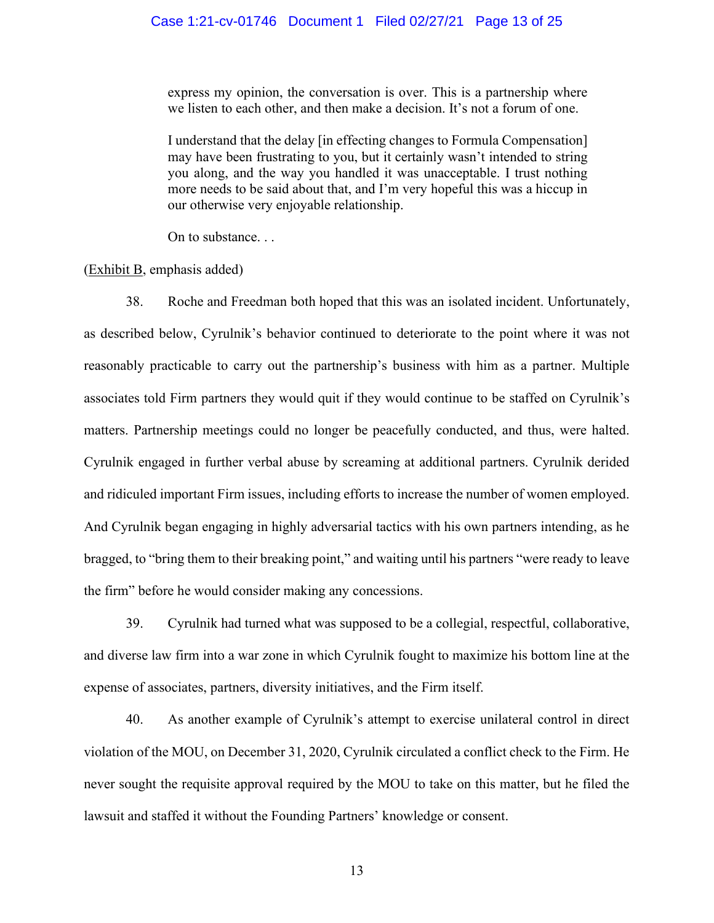#### Case 1:21-cv-01746 Document 1 Filed 02/27/21 Page 13 of 25

express my opinion, the conversation is over. This is a partnership where we listen to each other, and then make a decision. It's not a forum of one.

I understand that the delay [in effecting changes to Formula Compensation] may have been frustrating to you, but it certainly wasn't intended to string you along, and the way you handled it was unacceptable. I trust nothing more needs to be said about that, and I'm very hopeful this was a hiccup in our otherwise very enjoyable relationship.

On to substance. . .

(Exhibit B, emphasis added)

38. Roche and Freedman both hoped that this was an isolated incident. Unfortunately, as described below, Cyrulnik's behavior continued to deteriorate to the point where it was not reasonably practicable to carry out the partnership's business with him as a partner. Multiple associates told Firm partners they would quit if they would continue to be staffed on Cyrulnik's matters. Partnership meetings could no longer be peacefully conducted, and thus, were halted. Cyrulnik engaged in further verbal abuse by screaming at additional partners. Cyrulnik derided and ridiculed important Firm issues, including efforts to increase the number of women employed. And Cyrulnik began engaging in highly adversarial tactics with his own partners intending, as he bragged, to "bring them to their breaking point," and waiting until his partners "were ready to leave the firm" before he would consider making any concessions.

39. Cyrulnik had turned what was supposed to be a collegial, respectful, collaborative, and diverse law firm into a war zone in which Cyrulnik fought to maximize his bottom line at the expense of associates, partners, diversity initiatives, and the Firm itself.

40. As another example of Cyrulnik's attempt to exercise unilateral control in direct violation of the MOU, on December 31, 2020, Cyrulnik circulated a conflict check to the Firm. He never sought the requisite approval required by the MOU to take on this matter, but he filed the lawsuit and staffed it without the Founding Partners' knowledge or consent.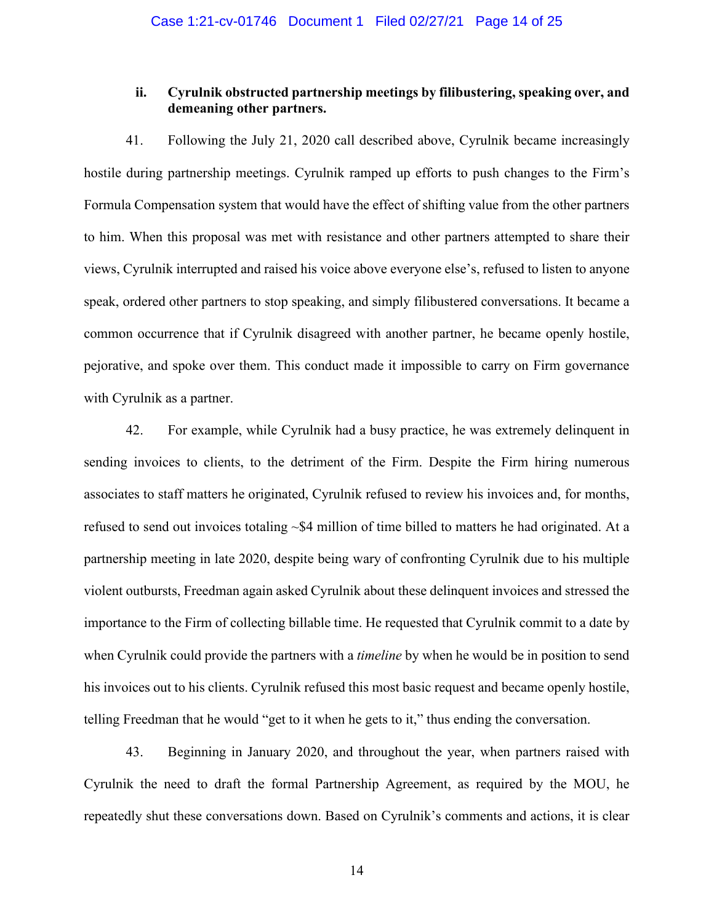## **ii. Cyrulnik obstructed partnership meetings by filibustering, speaking over, and demeaning other partners.**

41. Following the July 21, 2020 call described above, Cyrulnik became increasingly hostile during partnership meetings. Cyrulnik ramped up efforts to push changes to the Firm's Formula Compensation system that would have the effect of shifting value from the other partners to him. When this proposal was met with resistance and other partners attempted to share their views, Cyrulnik interrupted and raised his voice above everyone else's, refused to listen to anyone speak, ordered other partners to stop speaking, and simply filibustered conversations. It became a common occurrence that if Cyrulnik disagreed with another partner, he became openly hostile, pejorative, and spoke over them. This conduct made it impossible to carry on Firm governance with Cyrulnik as a partner.

42. For example, while Cyrulnik had a busy practice, he was extremely delinquent in sending invoices to clients, to the detriment of the Firm. Despite the Firm hiring numerous associates to staff matters he originated, Cyrulnik refused to review his invoices and, for months, refused to send out invoices totaling ~\$4 million of time billed to matters he had originated. At a partnership meeting in late 2020, despite being wary of confronting Cyrulnik due to his multiple violent outbursts, Freedman again asked Cyrulnik about these delinquent invoices and stressed the importance to the Firm of collecting billable time. He requested that Cyrulnik commit to a date by when Cyrulnik could provide the partners with a *timeline* by when he would be in position to send his invoices out to his clients. Cyrulnik refused this most basic request and became openly hostile, telling Freedman that he would "get to it when he gets to it," thus ending the conversation.

43. Beginning in January 2020, and throughout the year, when partners raised with Cyrulnik the need to draft the formal Partnership Agreement, as required by the MOU, he repeatedly shut these conversations down. Based on Cyrulnik's comments and actions, it is clear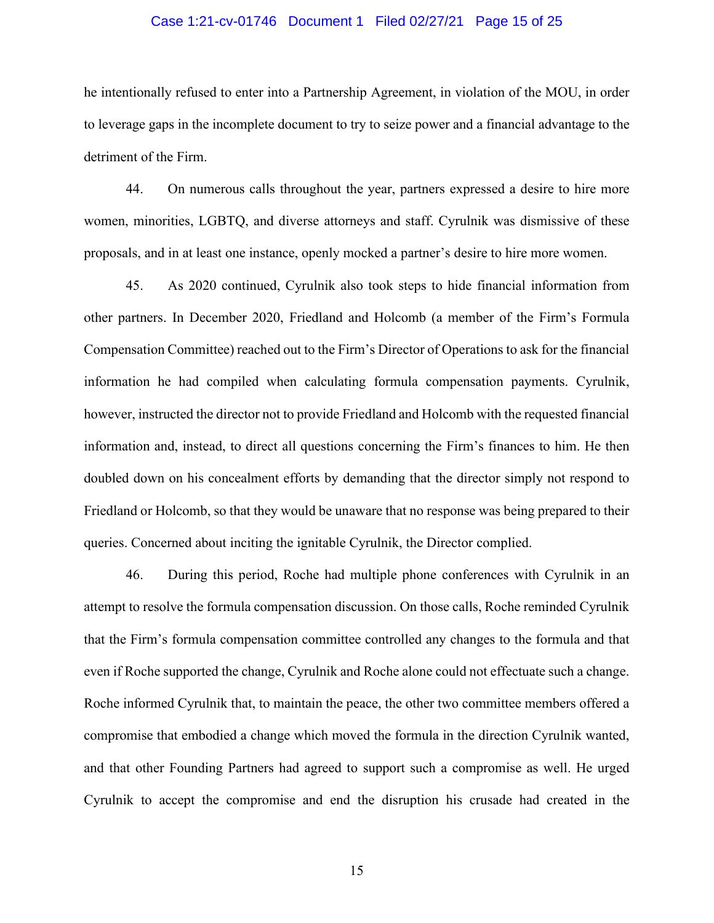#### Case 1:21-cv-01746 Document 1 Filed 02/27/21 Page 15 of 25

he intentionally refused to enter into a Partnership Agreement, in violation of the MOU, in order to leverage gaps in the incomplete document to try to seize power and a financial advantage to the detriment of the Firm.

44. On numerous calls throughout the year, partners expressed a desire to hire more women, minorities, LGBTQ, and diverse attorneys and staff. Cyrulnik was dismissive of these proposals, and in at least one instance, openly mocked a partner's desire to hire more women.

45. As 2020 continued, Cyrulnik also took steps to hide financial information from other partners. In December 2020, Friedland and Holcomb (a member of the Firm's Formula Compensation Committee) reached out to the Firm's Director of Operations to ask for the financial information he had compiled when calculating formula compensation payments. Cyrulnik, however, instructed the director not to provide Friedland and Holcomb with the requested financial information and, instead, to direct all questions concerning the Firm's finances to him. He then doubled down on his concealment efforts by demanding that the director simply not respond to Friedland or Holcomb, so that they would be unaware that no response was being prepared to their queries. Concerned about inciting the ignitable Cyrulnik, the Director complied.

46. During this period, Roche had multiple phone conferences with Cyrulnik in an attempt to resolve the formula compensation discussion. On those calls, Roche reminded Cyrulnik that the Firm's formula compensation committee controlled any changes to the formula and that even if Roche supported the change, Cyrulnik and Roche alone could not effectuate such a change. Roche informed Cyrulnik that, to maintain the peace, the other two committee members offered a compromise that embodied a change which moved the formula in the direction Cyrulnik wanted, and that other Founding Partners had agreed to support such a compromise as well. He urged Cyrulnik to accept the compromise and end the disruption his crusade had created in the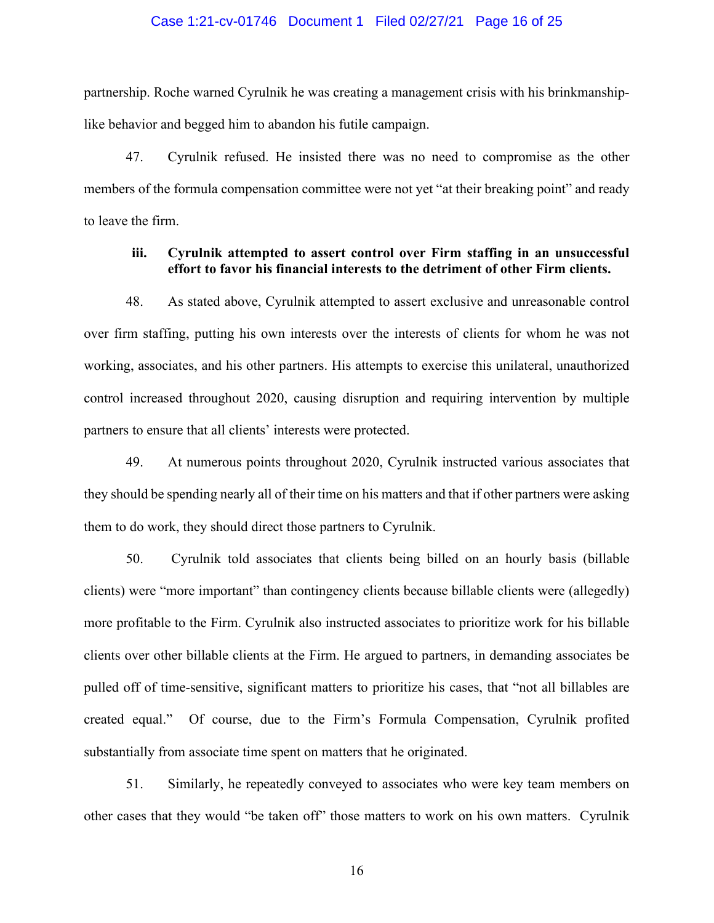#### Case 1:21-cv-01746 Document 1 Filed 02/27/21 Page 16 of 25

partnership. Roche warned Cyrulnik he was creating a management crisis with his brinkmanshiplike behavior and begged him to abandon his futile campaign.

47. Cyrulnik refused. He insisted there was no need to compromise as the other members of the formula compensation committee were not yet "at their breaking point" and ready to leave the firm.

## **iii. Cyrulnik attempted to assert control over Firm staffing in an unsuccessful effort to favor his financial interests to the detriment of other Firm clients.**

48. As stated above, Cyrulnik attempted to assert exclusive and unreasonable control over firm staffing, putting his own interests over the interests of clients for whom he was not working, associates, and his other partners. His attempts to exercise this unilateral, unauthorized control increased throughout 2020, causing disruption and requiring intervention by multiple partners to ensure that all clients' interests were protected.

49. At numerous points throughout 2020, Cyrulnik instructed various associates that they should be spending nearly all of their time on his matters and that if other partners were asking them to do work, they should direct those partners to Cyrulnik.

50. Cyrulnik told associates that clients being billed on an hourly basis (billable clients) were "more important" than contingency clients because billable clients were (allegedly) more profitable to the Firm. Cyrulnik also instructed associates to prioritize work for his billable clients over other billable clients at the Firm. He argued to partners, in demanding associates be pulled off of time-sensitive, significant matters to prioritize his cases, that "not all billables are created equal." Of course, due to the Firm's Formula Compensation, Cyrulnik profited substantially from associate time spent on matters that he originated.

51. Similarly, he repeatedly conveyed to associates who were key team members on other cases that they would "be taken off" those matters to work on his own matters. Cyrulnik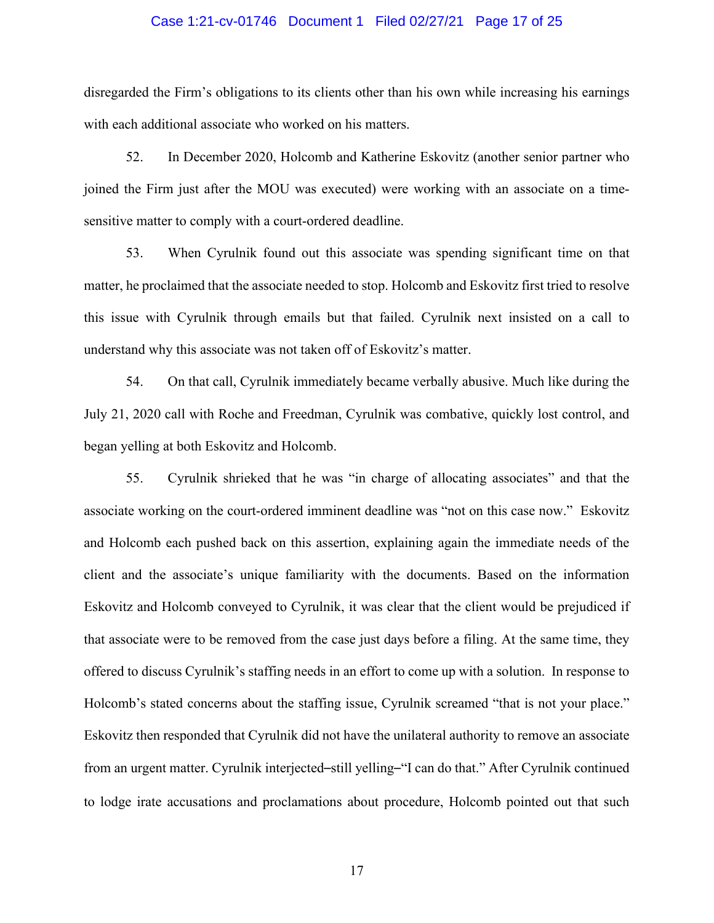#### Case 1:21-cv-01746 Document 1 Filed 02/27/21 Page 17 of 25

disregarded the Firm's obligations to its clients other than his own while increasing his earnings with each additional associate who worked on his matters.

52. In December 2020, Holcomb and Katherine Eskovitz (another senior partner who joined the Firm just after the MOU was executed) were working with an associate on a timesensitive matter to comply with a court-ordered deadline.

53. When Cyrulnik found out this associate was spending significant time on that matter, he proclaimed that the associate needed to stop. Holcomb and Eskovitz first tried to resolve this issue with Cyrulnik through emails but that failed. Cyrulnik next insisted on a call to understand why this associate was not taken off of Eskovitz's matter.

54. On that call, Cyrulnik immediately became verbally abusive. Much like during the July 21, 2020 call with Roche and Freedman, Cyrulnik was combative, quickly lost control, and began yelling at both Eskovitz and Holcomb.

55. Cyrulnik shrieked that he was "in charge of allocating associates" and that the associate working on the court-ordered imminent deadline was "not on this case now." Eskovitz and Holcomb each pushed back on this assertion, explaining again the immediate needs of the client and the associate's unique familiarity with the documents. Based on the information Eskovitz and Holcomb conveyed to Cyrulnik, it was clear that the client would be prejudiced if that associate were to be removed from the case just days before a filing. At the same time, they offered to discuss Cyrulnik's staffing needs in an effort to come up with a solution. In response to Holcomb's stated concerns about the staffing issue, Cyrulnik screamed "that is not your place." Eskovitz then responded that Cyrulnik did not have the unilateral authority to remove an associate from an urgent matter. Cyrulnik interjected–still yelling–"I can do that." After Cyrulnik continued to lodge irate accusations and proclamations about procedure, Holcomb pointed out that such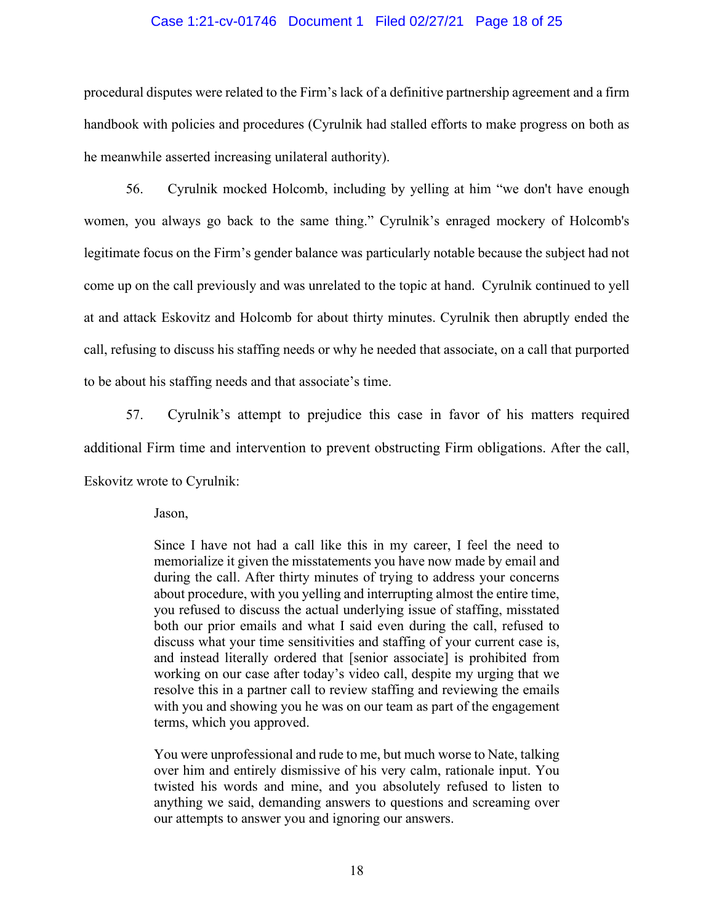#### Case 1:21-cv-01746 Document 1 Filed 02/27/21 Page 18 of 25

procedural disputes were related to the Firm's lack of a definitive partnership agreement and a firm handbook with policies and procedures (Cyrulnik had stalled efforts to make progress on both as he meanwhile asserted increasing unilateral authority).

56. Cyrulnik mocked Holcomb, including by yelling at him "we don't have enough women, you always go back to the same thing." Cyrulnik's enraged mockery of Holcomb's legitimate focus on the Firm's gender balance was particularly notable because the subject had not come up on the call previously and was unrelated to the topic at hand. Cyrulnik continued to yell at and attack Eskovitz and Holcomb for about thirty minutes. Cyrulnik then abruptly ended the call, refusing to discuss his staffing needs or why he needed that associate, on a call that purported to be about his staffing needs and that associate's time.

57. Cyrulnik's attempt to prejudice this case in favor of his matters required additional Firm time and intervention to prevent obstructing Firm obligations. After the call, Eskovitz wrote to Cyrulnik:

Jason,

Since I have not had a call like this in my career, I feel the need to memorialize it given the misstatements you have now made by email and during the call. After thirty minutes of trying to address your concerns about procedure, with you yelling and interrupting almost the entire time, you refused to discuss the actual underlying issue of staffing, misstated both our prior emails and what I said even during the call, refused to discuss what your time sensitivities and staffing of your current case is, and instead literally ordered that [senior associate] is prohibited from working on our case after today's video call, despite my urging that we resolve this in a partner call to review staffing and reviewing the emails with you and showing you he was on our team as part of the engagement terms, which you approved.

You were unprofessional and rude to me, but much worse to Nate, talking over him and entirely dismissive of his very calm, rationale input. You twisted his words and mine, and you absolutely refused to listen to anything we said, demanding answers to questions and screaming over our attempts to answer you and ignoring our answers.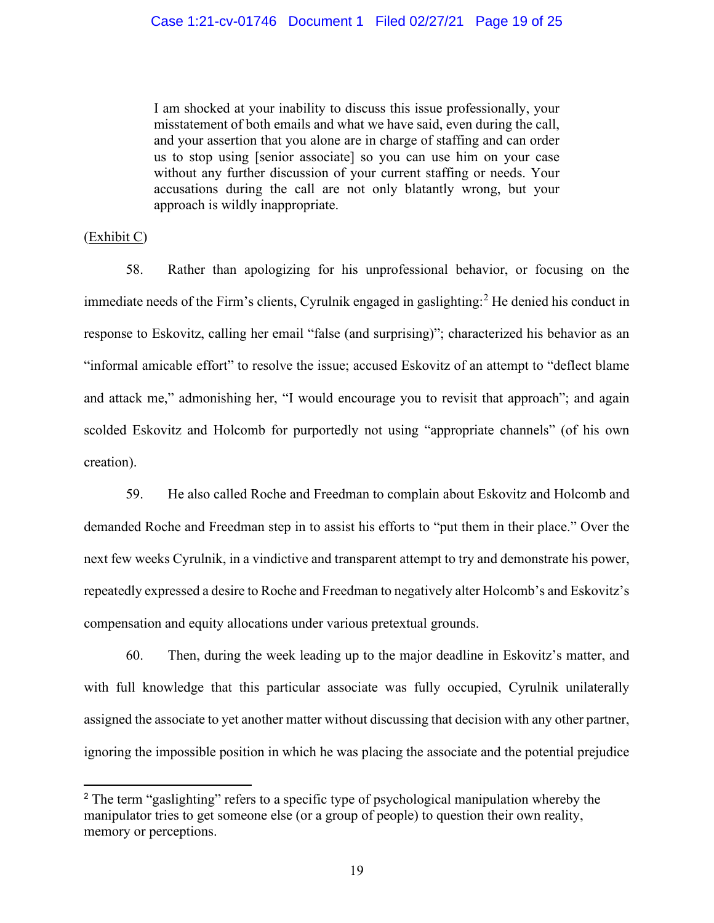#### Case 1:21-cv-01746 Document 1 Filed 02/27/21 Page 19 of 25

I am shocked at your inability to discuss this issue professionally, your misstatement of both emails and what we have said, even during the call, and your assertion that you alone are in charge of staffing and can order us to stop using [senior associate] so you can use him on your case without any further discussion of your current staffing or needs. Your accusations during the call are not only blatantly wrong, but your approach is wildly inappropriate.

#### (Exhibit C)

58. Rather than apologizing for his unprofessional behavior, or focusing on the immediate needs of the Firm's clients, Cyrulnik engaged in gaslighting:<sup>[2](#page-18-0)</sup> He denied his conduct in response to Eskovitz, calling her email "false (and surprising)"; characterized his behavior as an "informal amicable effort" to resolve the issue; accused Eskovitz of an attempt to "deflect blame and attack me," admonishing her, "I would encourage you to revisit that approach"; and again scolded Eskovitz and Holcomb for purportedly not using "appropriate channels" (of his own creation).

59. He also called Roche and Freedman to complain about Eskovitz and Holcomb and demanded Roche and Freedman step in to assist his efforts to "put them in their place." Over the next few weeks Cyrulnik, in a vindictive and transparent attempt to try and demonstrate his power, repeatedly expressed a desire to Roche and Freedman to negatively alter Holcomb's and Eskovitz's compensation and equity allocations under various pretextual grounds.

60. Then, during the week leading up to the major deadline in Eskovitz's matter, and with full knowledge that this particular associate was fully occupied, Cyrulnik unilaterally assigned the associate to yet another matter without discussing that decision with any other partner, ignoring the impossible position in which he was placing the associate and the potential prejudice

<span id="page-18-0"></span><sup>&</sup>lt;sup>2</sup> The term "gaslighting" refers to a specific type of psychological manipulation whereby the manipulator tries to get someone else (or a group of people) to question their own reality, memory or perceptions.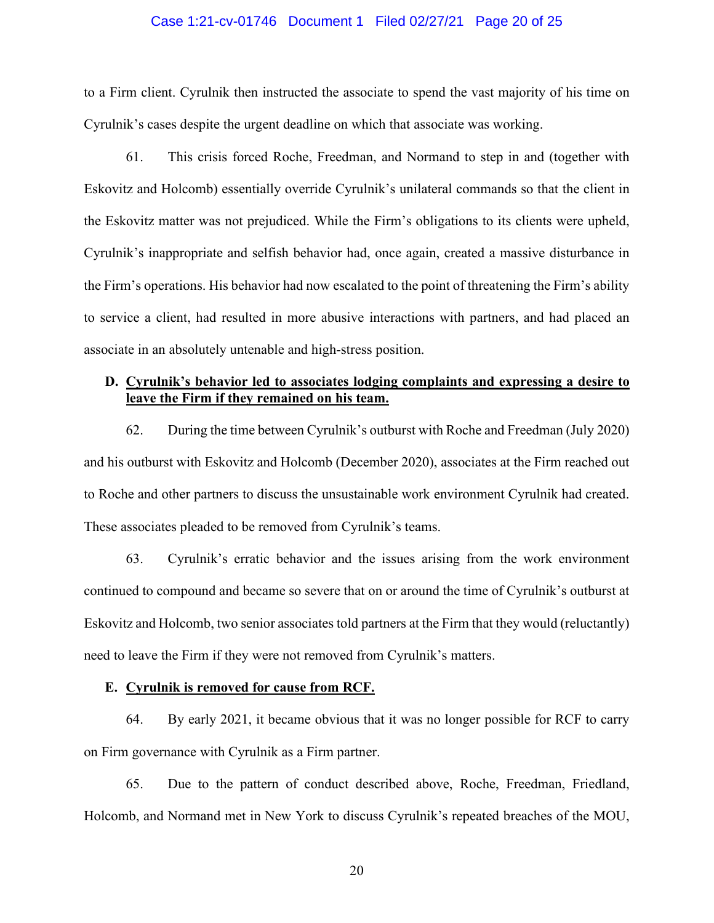#### Case 1:21-cv-01746 Document 1 Filed 02/27/21 Page 20 of 25

to a Firm client. Cyrulnik then instructed the associate to spend the vast majority of his time on Cyrulnik's cases despite the urgent deadline on which that associate was working.

61. This crisis forced Roche, Freedman, and Normand to step in and (together with Eskovitz and Holcomb) essentially override Cyrulnik's unilateral commands so that the client in the Eskovitz matter was not prejudiced. While the Firm's obligations to its clients were upheld, Cyrulnik's inappropriate and selfish behavior had, once again, created a massive disturbance in the Firm's operations. His behavior had now escalated to the point of threatening the Firm's ability to service a client, had resulted in more abusive interactions with partners, and had placed an associate in an absolutely untenable and high-stress position.

## **D. Cyrulnik's behavior led to associates lodging complaints and expressing a desire to leave the Firm if they remained on his team.**

62. During the time between Cyrulnik's outburst with Roche and Freedman (July 2020) and his outburst with Eskovitz and Holcomb (December 2020), associates at the Firm reached out to Roche and other partners to discuss the unsustainable work environment Cyrulnik had created. These associates pleaded to be removed from Cyrulnik's teams.

63. Cyrulnik's erratic behavior and the issues arising from the work environment continued to compound and became so severe that on or around the time of Cyrulnik's outburst at Eskovitz and Holcomb, two senior associates told partners at the Firm that they would (reluctantly) need to leave the Firm if they were not removed from Cyrulnik's matters.

### **E. Cyrulnik is removed for cause from RCF.**

64. By early 2021, it became obvious that it was no longer possible for RCF to carry on Firm governance with Cyrulnik as a Firm partner.

65. Due to the pattern of conduct described above, Roche, Freedman, Friedland, Holcomb, and Normand met in New York to discuss Cyrulnik's repeated breaches of the MOU,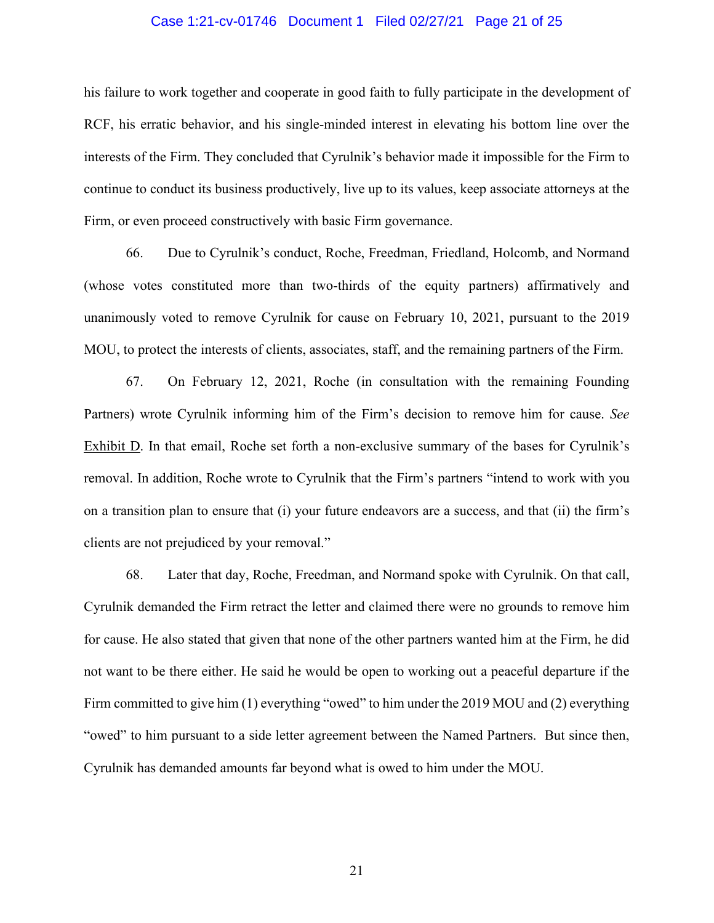#### Case 1:21-cv-01746 Document 1 Filed 02/27/21 Page 21 of 25

his failure to work together and cooperate in good faith to fully participate in the development of RCF, his erratic behavior, and his single-minded interest in elevating his bottom line over the interests of the Firm. They concluded that Cyrulnik's behavior made it impossible for the Firm to continue to conduct its business productively, live up to its values, keep associate attorneys at the Firm, or even proceed constructively with basic Firm governance.

66. Due to Cyrulnik's conduct, Roche, Freedman, Friedland, Holcomb, and Normand (whose votes constituted more than two-thirds of the equity partners) affirmatively and unanimously voted to remove Cyrulnik for cause on February 10, 2021, pursuant to the 2019 MOU, to protect the interests of clients, associates, staff, and the remaining partners of the Firm.

67. On February 12, 2021, Roche (in consultation with the remaining Founding Partners) wrote Cyrulnik informing him of the Firm's decision to remove him for cause. *See* Exhibit D. In that email, Roche set forth a non-exclusive summary of the bases for Cyrulnik's removal. In addition, Roche wrote to Cyrulnik that the Firm's partners "intend to work with you on a transition plan to ensure that (i) your future endeavors are a success, and that (ii) the firm's clients are not prejudiced by your removal."

68. Later that day, Roche, Freedman, and Normand spoke with Cyrulnik. On that call, Cyrulnik demanded the Firm retract the letter and claimed there were no grounds to remove him for cause. He also stated that given that none of the other partners wanted him at the Firm, he did not want to be there either. He said he would be open to working out a peaceful departure if the Firm committed to give him (1) everything "owed" to him under the 2019 MOU and (2) everything "owed" to him pursuant to a side letter agreement between the Named Partners. But since then, Cyrulnik has demanded amounts far beyond what is owed to him under the MOU.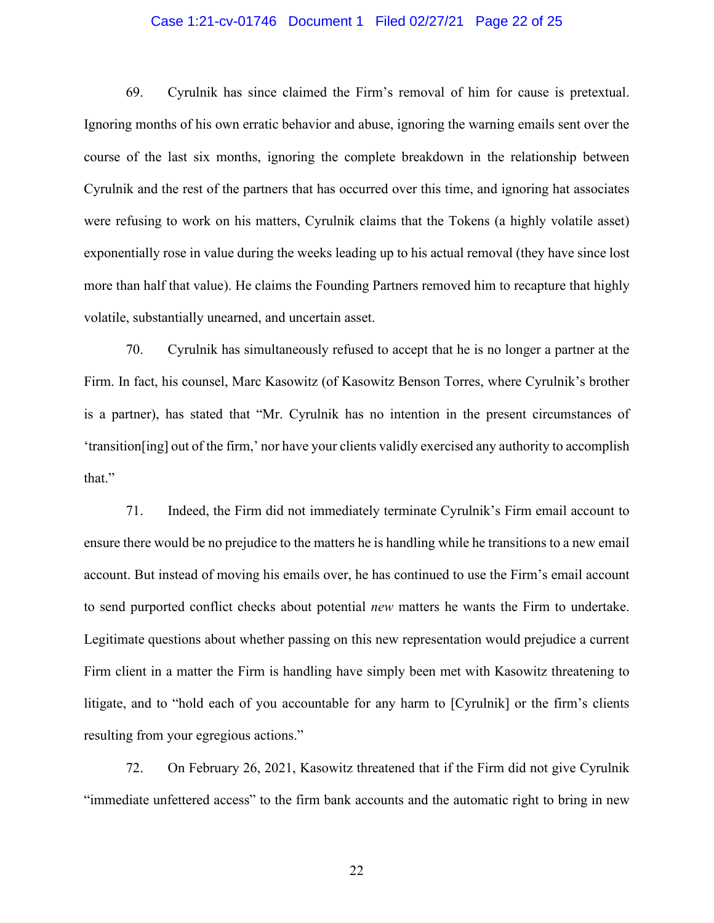#### Case 1:21-cv-01746 Document 1 Filed 02/27/21 Page 22 of 25

69. Cyrulnik has since claimed the Firm's removal of him for cause is pretextual. Ignoring months of his own erratic behavior and abuse, ignoring the warning emails sent over the course of the last six months, ignoring the complete breakdown in the relationship between Cyrulnik and the rest of the partners that has occurred over this time, and ignoring hat associates were refusing to work on his matters, Cyrulnik claims that the Tokens (a highly volatile asset) exponentially rose in value during the weeks leading up to his actual removal (they have since lost more than half that value). He claims the Founding Partners removed him to recapture that highly volatile, substantially unearned, and uncertain asset.

70. Cyrulnik has simultaneously refused to accept that he is no longer a partner at the Firm. In fact, his counsel, Marc Kasowitz (of Kasowitz Benson Torres, where Cyrulnik's brother is a partner), has stated that "Mr. Cyrulnik has no intention in the present circumstances of 'transition[ing] out of the firm,' nor have your clients validly exercised any authority to accomplish that."

71. Indeed, the Firm did not immediately terminate Cyrulnik's Firm email account to ensure there would be no prejudice to the matters he is handling while he transitions to a new email account. But instead of moving his emails over, he has continued to use the Firm's email account to send purported conflict checks about potential *new* matters he wants the Firm to undertake. Legitimate questions about whether passing on this new representation would prejudice a current Firm client in a matter the Firm is handling have simply been met with Kasowitz threatening to litigate, and to "hold each of you accountable for any harm to [Cyrulnik] or the firm's clients resulting from your egregious actions."

72. On February 26, 2021, Kasowitz threatened that if the Firm did not give Cyrulnik "immediate unfettered access" to the firm bank accounts and the automatic right to bring in new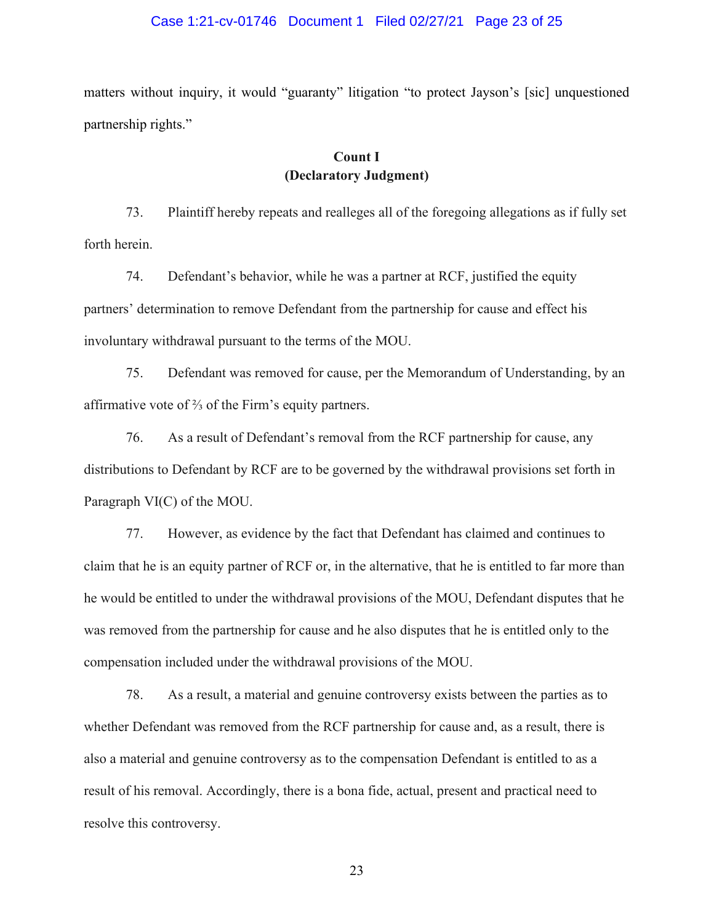#### Case 1:21-cv-01746 Document 1 Filed 02/27/21 Page 23 of 25

matters without inquiry, it would "guaranty" litigation "to protect Jayson's [sic] unquestioned partnership rights."

## **Count I (Declaratory Judgment)**

73. Plaintiff hereby repeats and realleges all of the foregoing allegations as if fully set forth herein.

74. Defendant's behavior, while he was a partner at RCF, justified the equity partners' determination to remove Defendant from the partnership for cause and effect his involuntary withdrawal pursuant to the terms of the MOU.

75. Defendant was removed for cause, per the Memorandum of Understanding, by an affirmative vote of ⅔ of the Firm's equity partners.

76. As a result of Defendant's removal from the RCF partnership for cause, any distributions to Defendant by RCF are to be governed by the withdrawal provisions set forth in Paragraph VI(C) of the MOU.

77. However, as evidence by the fact that Defendant has claimed and continues to claim that he is an equity partner of RCF or, in the alternative, that he is entitled to far more than he would be entitled to under the withdrawal provisions of the MOU, Defendant disputes that he was removed from the partnership for cause and he also disputes that he is entitled only to the compensation included under the withdrawal provisions of the MOU.

78. As a result, a material and genuine controversy exists between the parties as to whether Defendant was removed from the RCF partnership for cause and, as a result, there is also a material and genuine controversy as to the compensation Defendant is entitled to as a result of his removal. Accordingly, there is a bona fide, actual, present and practical need to resolve this controversy.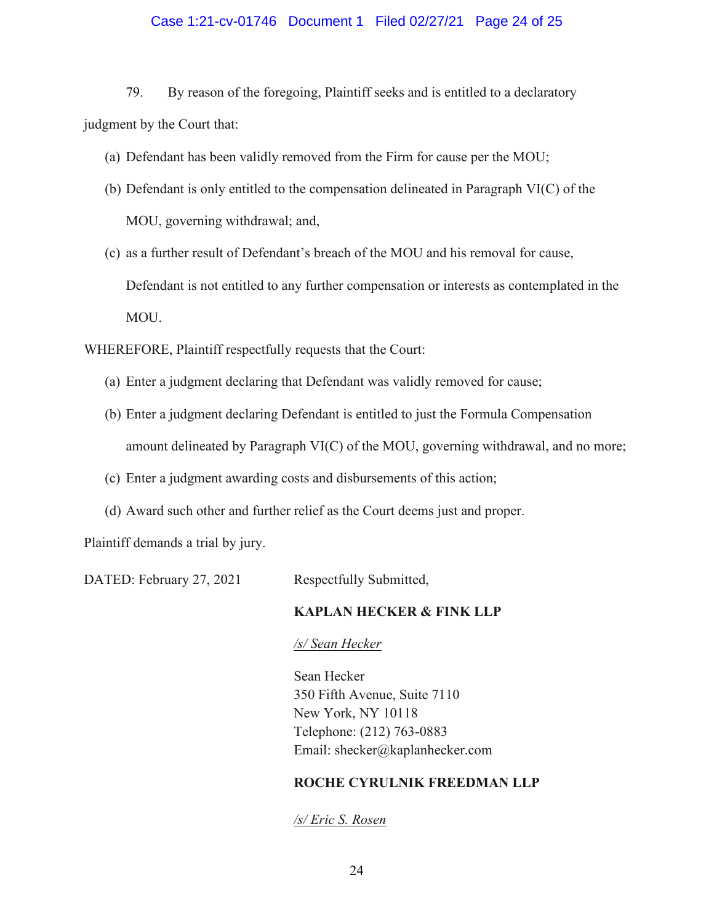## Case 1:21-cv-01746 Document 1 Filed 02/27/21 Page 24 of 25

79. By reason of the foregoing, Plaintiff seeks and is entitled to a declaratory judgment by the Court that:

- (a) Defendant has been validly removed from the Firm for cause per the MOU;
- (b) Defendant is only entitled to the compensation delineated in Paragraph VI(C) of the MOU, governing withdrawal; and,
- (c) as a further result of Defendant's breach of the MOU and his removal for cause, Defendant is not entitled to any further compensation or interests as contemplated in the MOU.

WHEREFORE, Plaintiff respectfully requests that the Court:

- (a) Enter a judgment declaring that Defendant was validly removed for cause;
- (b) Enter a judgment declaring Defendant is entitled to just the Formula Compensation amount delineated by Paragraph VI(C) of the MOU, governing withdrawal, and no more;
- (c) Enter a judgment awarding costs and disbursements of this action;
- (d) Award such other and further relief as the Court deems just and proper.

Plaintiff demands a trial by jury.

DATED: February 27, 2021 Respectfully Submitted,

## **KAPLAN HECKER & FINK LLP**

#### */s/ Sean Hecker*

Sean Hecker 350 Fifth Avenue, Suite 7110 New York, NY 10118 Telephone: (212) 763-0883 Email: shecker@kaplanhecker.com

## **ROCHE CYRULNIK FREEDMAN LLP**

*/s/ Eric S. Rosen*